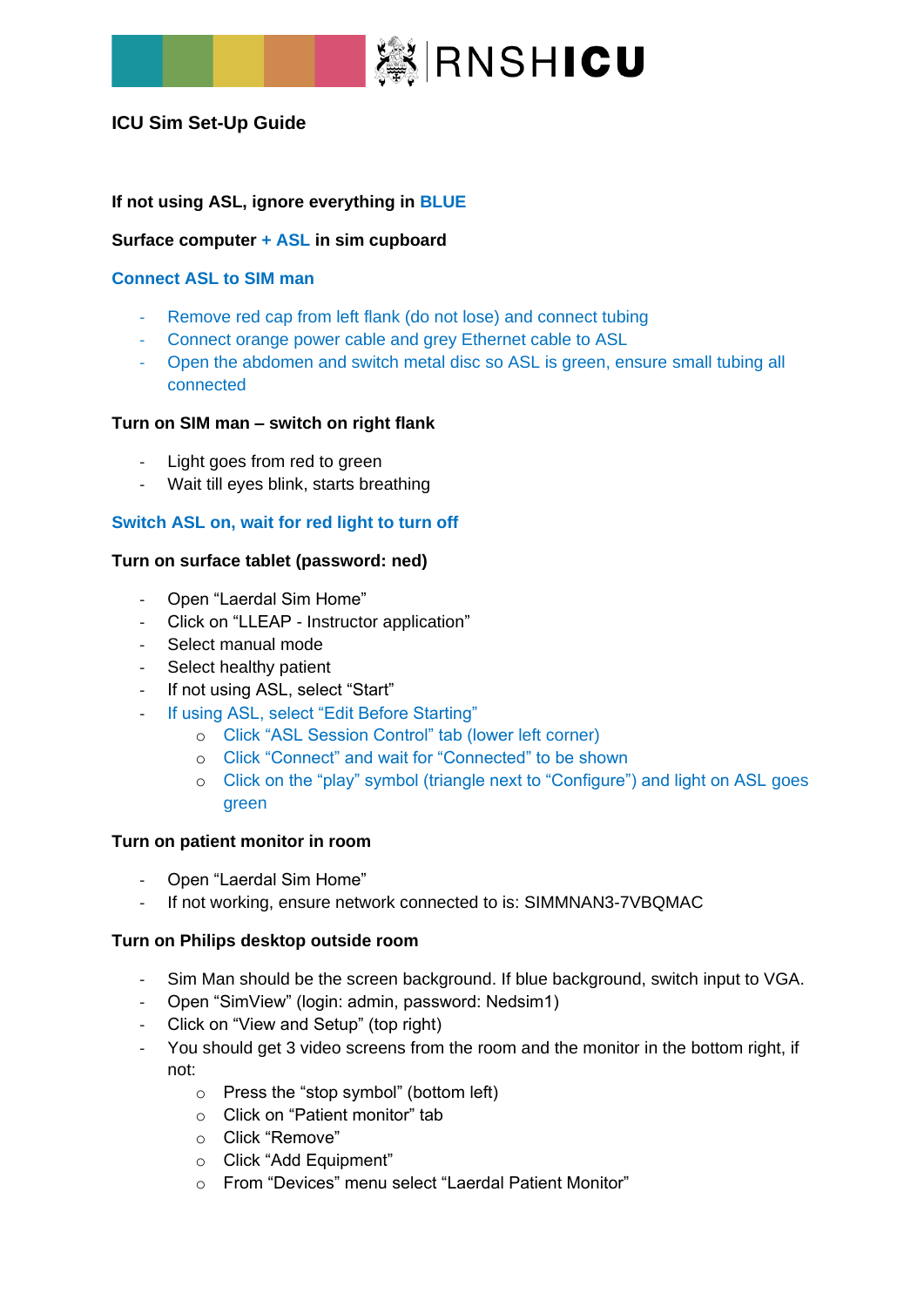

# **ICU Sim Set-Up Guide**

# **If not using ASL, ignore everything in BLUE**

#### **Surface computer + ASL in sim cupboard**

#### **Connect ASL to SIM man**

- Remove red cap from left flank (do not lose) and connect tubing
- Connect orange power cable and grey Ethernet cable to ASL
- Open the abdomen and switch metal disc so ASL is green, ensure small tubing all connected

#### **Turn on SIM man – switch on right flank**

- Light goes from red to green
- Wait till eyes blink, starts breathing

## **Switch ASL on, wait for red light to turn off**

## **Turn on surface tablet (password: ned)**

- Open "Laerdal Sim Home"
- Click on "LLEAP Instructor application"
- Select manual mode
- Select healthy patient
- If not using ASL, select "Start"
- If using ASL, select "Edit Before Starting"
	- o Click "ASL Session Control" tab (lower left corner)
	- o Click "Connect" and wait for "Connected" to be shown
	- o Click on the "play" symbol (triangle next to "Configure") and light on ASL goes green

#### **Turn on patient monitor in room**

- Open "Laerdal Sim Home"
- If not working, ensure network connected to is: SIMMNAN3-7VBQMAC

#### **Turn on Philips desktop outside room**

- Sim Man should be the screen background. If blue background, switch input to VGA.
- Open "SimView" (login: admin, password: Nedsim1)
- Click on "View and Setup" (top right)
- You should get 3 video screens from the room and the monitor in the bottom right, if not:
	- o Press the "stop symbol" (bottom left)
	- o Click on "Patient monitor" tab
	- o Click "Remove"
	- o Click "Add Equipment"
	- o From "Devices" menu select "Laerdal Patient Monitor"